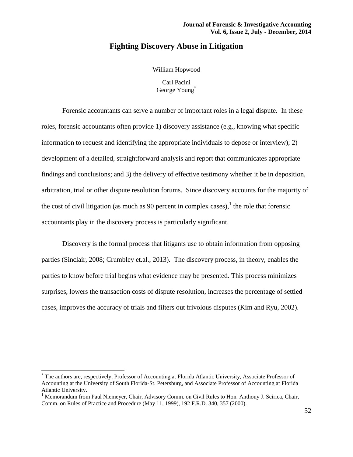# **Fighting Discovery Abuse in Litigation**

William Hopwood

Carl Pacini George Young<sup>\*</sup>

Forensic accountants can serve a number of important roles in a legal dispute. In these roles, forensic accountants often provide 1) discovery assistance (e.g., knowing what specific information to request and identifying the appropriate individuals to depose or interview); 2) development of a detailed, straightforward analysis and report that communicates appropriate findings and conclusions; and 3) the delivery of effective testimony whether it be in deposition, arbitration, trial or other dispute resolution forums. Since discovery accounts for the majority of the cost of civil litigation (as much as 90 percent in complex cases), $<sup>1</sup>$  the role that forensic</sup> accountants play in the discovery process is particularly significant.

Discovery is the formal process that litigants use to obtain information from opposing parties (Sinclair, 2008; Crumbley et.al., 2013). The discovery process, in theory, enables the parties to know before trial begins what evidence may be presented. This process minimizes surprises, lowers the transaction costs of dispute resolution, increases the percentage of settled cases, improves the accuracy of trials and filters out frivolous disputes (Kim and Ryu, 2002).

 $\overline{a}$ 

<sup>\*</sup> The authors are, respectively, Professor of Accounting at Florida Atlantic University, Associate Professor of Accounting at the University of South Florida-St. Petersburg, and Associate Professor of Accounting at Florida Atlantic University.

<sup>&</sup>lt;sup>1</sup> Memorandum from Paul Niemeyer, Chair, Advisory Comm. on Civil Rules to Hon. Anthony J. Scirica, Chair, Comm. on Rules of Practice and Procedure (May 11, 1999), 192 F.R.D. 340, 357 (2000).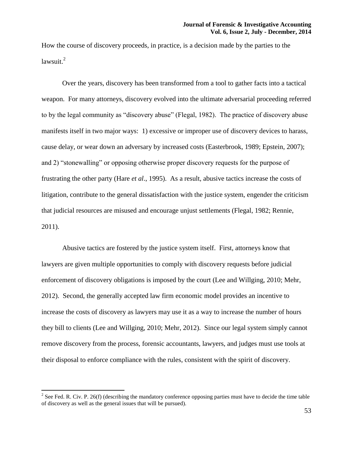How the course of discovery proceeds, in practice, is a decision made by the parties to the lawsuit.<sup>2</sup>

Over the years, discovery has been transformed from a tool to gather facts into a tactical weapon. For many attorneys, discovery evolved into the ultimate adversarial proceeding referred to by the legal community as "discovery abuse" (Flegal, 1982). The practice of discovery abuse manifests itself in two major ways: 1) excessive or improper use of discovery devices to harass, cause delay, or wear down an adversary by increased costs (Easterbrook, 1989; Epstein, 2007); and 2) "stonewalling" or opposing otherwise proper discovery requests for the purpose of frustrating the other party (Hare *et al*., 1995). As a result, abusive tactics increase the costs of litigation, contribute to the general dissatisfaction with the justice system, engender the criticism that judicial resources are misused and encourage unjust settlements (Flegal, 1982; Rennie, 2011).

Abusive tactics are fostered by the justice system itself. First, attorneys know that lawyers are given multiple opportunities to comply with discovery requests before judicial enforcement of discovery obligations is imposed by the court (Lee and Willging, 2010; Mehr, 2012). Second, the generally accepted law firm economic model provides an incentive to increase the costs of discovery as lawyers may use it as a way to increase the number of hours they bill to clients (Lee and Willging, 2010; Mehr, 2012). Since our legal system simply cannot remove discovery from the process, forensic accountants, lawyers, and judges must use tools at their disposal to enforce compliance with the rules, consistent with the spirit of discovery.

<sup>&</sup>lt;sup>2</sup> See Fed. R. Civ. P. 26(f) (describing the mandatory conference opposing parties must have to decide the time table of discovery as well as the general issues that will be pursued).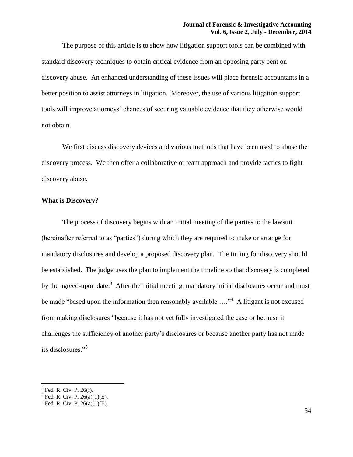The purpose of this article is to show how litigation support tools can be combined with standard discovery techniques to obtain critical evidence from an opposing party bent on discovery abuse. An enhanced understanding of these issues will place forensic accountants in a better position to assist attorneys in litigation. Moreover, the use of various litigation support tools will improve attorneys' chances of securing valuable evidence that they otherwise would not obtain.

We first discuss discovery devices and various methods that have been used to abuse the discovery process. We then offer a collaborative or team approach and provide tactics to fight discovery abuse.

## **What is Discovery?**

The process of discovery begins with an initial meeting of the parties to the lawsuit (hereinafter referred to as "parties") during which they are required to make or arrange for mandatory disclosures and develop a proposed discovery plan. The timing for discovery should be established. The judge uses the plan to implement the timeline so that discovery is completed by the agreed-upon date.<sup>3</sup> After the initial meeting, mandatory initial disclosures occur and must be made "based upon the information then reasonably available  $\ldots$ " A litigant is not excused from making disclosures "because it has not yet fully investigated the case or because it challenges the sufficiency of another party's disclosures or because another party has not made its disclosures."<sup>5</sup>

<sup>&</sup>lt;sup>3</sup> Fed. R. Civ. P. 26(f).<br><sup>4</sup> Fed. R. Civ. P. 26(a)(1)(E).<br><sup>5</sup> Fed. R. Civ. P. 26(a)(1)(E).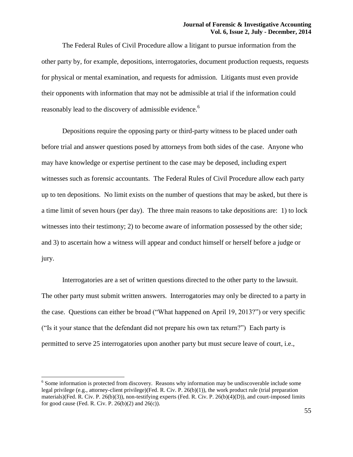The Federal Rules of Civil Procedure allow a litigant to pursue information from the other party by, for example, depositions, interrogatories, document production requests, requests for physical or mental examination, and requests for admission. Litigants must even provide their opponents with information that may not be admissible at trial if the information could reasonably lead to the discovery of admissible evidence.<sup>6</sup>

Depositions require the opposing party or third-party witness to be placed under oath before trial and answer questions posed by attorneys from both sides of the case. Anyone who may have knowledge or expertise pertinent to the case may be deposed, including expert witnesses such as forensic accountants. The Federal Rules of Civil Procedure allow each party up to ten depositions. No limit exists on the number of questions that may be asked, but there is a time limit of seven hours (per day). The three main reasons to take depositions are: 1) to lock witnesses into their testimony; 2) to become aware of information possessed by the other side; and 3) to ascertain how a witness will appear and conduct himself or herself before a judge or jury.

Interrogatories are a set of written questions directed to the other party to the lawsuit. The other party must submit written answers. Interrogatories may only be directed to a party in the case. Questions can either be broad ("What happened on April 19, 2013?") or very specific ("Is it your stance that the defendant did not prepare his own tax return?") Each party is permitted to serve 25 interrogatories upon another party but must secure leave of court, i.e.,

<sup>&</sup>lt;sup>6</sup> Some information is protected from discovery. Reasons why information may be undiscoverable include some legal privilege (e.g., attorney-client privilege)(Fed. R. Civ. P. 26(b)(1)), the work product rule (trial preparation materials)(Fed. R. Civ. P. 26(b)(3)), non-testifying experts (Fed. R. Civ. P. 26(b)(4)(D)), and court-imposed limits for good cause (Fed. R. Civ. P.  $26(b)(2)$  and  $26(c)$ ).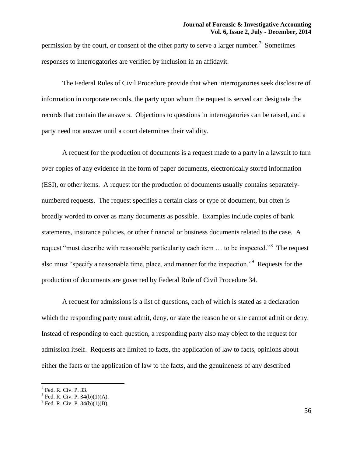permission by the court, or consent of the other party to serve a larger number.<sup>7</sup> Sometimes responses to interrogatories are verified by inclusion in an affidavit.

The Federal Rules of Civil Procedure provide that when interrogatories seek disclosure of information in corporate records, the party upon whom the request is served can designate the records that contain the answers. Objections to questions in interrogatories can be raised, and a party need not answer until a court determines their validity.

A request for the production of documents is a request made to a party in a lawsuit to turn over copies of any evidence in the form of paper documents, electronically stored information (ESI), or other items. A request for the production of documents usually contains separatelynumbered requests. The request specifies a certain class or type of document, but often is broadly worded to cover as many documents as possible. Examples include copies of bank statements, insurance policies, or other financial or business documents related to the case. A request "must describe with reasonable particularity each item ... to be inspected."<sup>8</sup> The request also must "specify a reasonable time, place, and manner for the inspection."<sup>9</sup> Requests for the production of documents are governed by Federal Rule of Civil Procedure 34.

A request for admissions is a list of questions, each of which is stated as a declaration which the responding party must admit, deny, or state the reason he or she cannot admit or deny. Instead of responding to each question, a responding party also may object to the request for admission itself. Requests are limited to facts, the application of law to facts, opinions about either the facts or the application of law to the facts, and the genuineness of any described

<sup>7</sup> Fed. R. Civ. P. 33.

<sup>&</sup>lt;sup>8</sup> Fed. R. Civ. P. 34(b)(1)(A).<br><sup>9</sup> Fed. R. Civ. P. 34(b)(1)(B).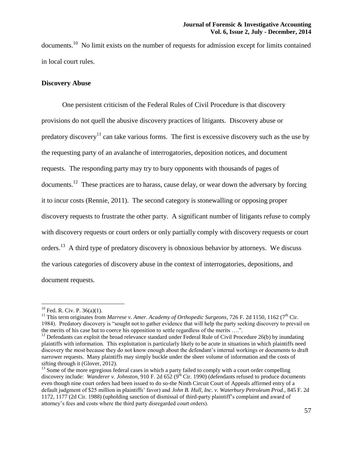documents.<sup>10</sup> No limit exists on the number of requests for admission except for limits contained in local court rules.

# **Discovery Abuse**

One persistent criticism of the Federal Rules of Civil Procedure is that discovery provisions do not quell the abusive discovery practices of litigants. Discovery abuse or predatory discovery<sup>11</sup> can take various forms. The first is excessive discovery such as the use by the requesting party of an avalanche of interrogatories, deposition notices, and document requests. The responding party may try to bury opponents with thousands of pages of documents.<sup>12</sup> These practices are to harass, cause delay, or wear down the adversary by forcing it to incur costs (Rennie, 2011). The second category is stonewalling or opposing proper discovery requests to frustrate the other party. A significant number of litigants refuse to comply with discovery requests or court orders or only partially comply with discovery requests or court orders.<sup>13</sup> A third type of predatory discovery is obnoxious behavior by attorneys. We discuss the various categories of discovery abuse in the context of interrogatories, depositions, and document requests.

l

 $10$  Fed. R. Civ. P. 36(a)(1).

<sup>&</sup>lt;sup>11</sup> This term originates from *Marrese v. Amer. Academy of Orthopedic Surgeons*, 726 F. 2d 1150, 1162 (7<sup>th</sup> Cir. 1984). Predatory discovery is "sought not to gather evidence that will help the party seeking discovery to prevail on the merits of his case but to coerce his opposition to settle regardless of the merits ….".

<sup>&</sup>lt;sup>12</sup> Defendants can exploit the broad relevance standard under Federal Rule of Civil Procedure 26(b) by inundating plaintiffs with information. This exploitation is particularly likely to be acute in situations in which plaintiffs need discovery the most because they do not know enough about the defendant's internal workings or documents to draft narrower requests. Many plaintiffs may simply buckle under the sheer volume of information and the costs of sifting through it (Glover, 2012).

<sup>&</sup>lt;sup>13</sup> Some of the more egregious federal cases in which a party failed to comply with a court order compelling discovery include: *Wanderer v. Johnston*, 910 F. 2d 652 (9<sup>th</sup> Cir. 1990) (defendants refused to produce documents even though nine court orders had been issued to do so-the Ninth Circuit Court of Appeals affirmed entry of a default judgment of \$25 million in plaintiffs' favor) and *John B. Hull, Inc. v. Waterbury Petroleum Prod.,* 845 F. 2d 1172, 1177 (2d Cir. 1988) (upholding sanction of dismissal of third-party plaintiff's complaint and award of attorney's fees and costs where the third party disregarded court orders).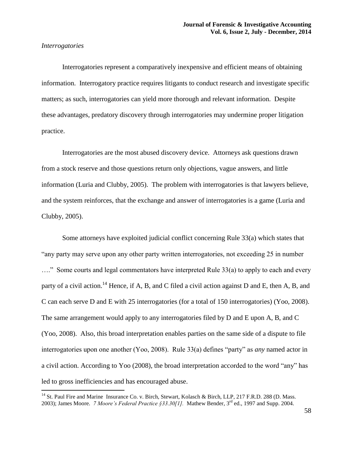# *Interrogatories*

 $\overline{a}$ 

Interrogatories represent a comparatively inexpensive and efficient means of obtaining information. Interrogatory practice requires litigants to conduct research and investigate specific matters; as such, interrogatories can yield more thorough and relevant information. Despite these advantages, predatory discovery through interrogatories may undermine proper litigation practice.

Interrogatories are the most abused discovery device. Attorneys ask questions drawn from a stock reserve and those questions return only objections, vague answers, and little information (Luria and Clubby, 2005). The problem with interrogatories is that lawyers believe, and the system reinforces, that the exchange and answer of interrogatories is a game (Luria and Clubby, 2005).

Some attorneys have exploited judicial conflict concerning Rule 33(a) which states that "any party may serve upon any other party written interrogatories, not exceeding 25 in number ...." Some courts and legal commentators have interpreted Rule 33(a) to apply to each and every party of a civil action.<sup>14</sup> Hence, if A, B, and C filed a civil action against D and E, then A, B, and C can each serve D and E with 25 interrogatories (for a total of 150 interrogatories) (Yoo, 2008). The same arrangement would apply to any interrogatories filed by D and E upon A, B, and C (Yoo, 2008). Also, this broad interpretation enables parties on the same side of a dispute to file interrogatories upon one another (Yoo, 2008). Rule 33(a) defines "party" as *any* named actor in a civil action. According to Yoo (2008), the broad interpretation accorded to the word "any" has led to gross inefficiencies and has encouraged abuse.

<sup>&</sup>lt;sup>14</sup> St. Paul Fire and Marine Insurance Co. v. Birch, Stewart, Kolasch & Birch, LLP, 217 F.R.D. 288 (D. Mass. 2003); James Moore. *7 Moore's Federal Practice §33.30[1].* Mathew Bender, 3rd ed., 1997 and Supp. 2004.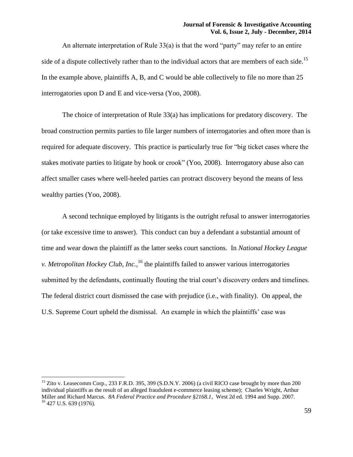An alternate interpretation of Rule 33(a) is that the word "party" may refer to an entire side of a dispute collectively rather than to the individual actors that are members of each side.<sup>15</sup> In the example above, plaintiffs A, B, and C would be able collectively to file no more than 25 interrogatories upon D and E and vice-versa (Yoo, 2008).

The choice of interpretation of Rule 33(a) has implications for predatory discovery. The broad construction permits parties to file larger numbers of interrogatories and often more than is required for adequate discovery. This practice is particularly true for "big ticket cases where the stakes motivate parties to litigate by hook or crook" (Yoo, 2008). Interrogatory abuse also can affect smaller cases where well-heeled parties can protract discovery beyond the means of less wealthy parties (Yoo, 2008).

A second technique employed by litigants is the outright refusal to answer interrogatories (or take excessive time to answer). This conduct can buy a defendant a substantial amount of time and wear down the plaintiff as the latter seeks court sanctions. In *National Hockey League v. Metropolitan Hockey Club, Inc.*,<sup>16</sup> the plaintiffs failed to answer various interrogatories submitted by the defendants, continually flouting the trial court's discovery orders and timelines. The federal district court dismissed the case with prejudice (i.e., with finality). On appeal, the U.S. Supreme Court upheld the dismissal. An example in which the plaintiffs' case was

<sup>&</sup>lt;sup>15</sup> Zito v. Leasecomm Corp., 233 F.R.D. 395, 399 (S.D.N.Y. 2006) (a civil RICO case brought by more than 200 individual plaintiffs as the result of an alleged fraudulent e-commerce leasing scheme); Charles Wright, Arthur Miller and Richard Marcus. *8A Federal Practice and Procedure §2168.1,* West 2d ed. 1994 and Supp. 2007.  $16$  427 U.S. 639 (1976).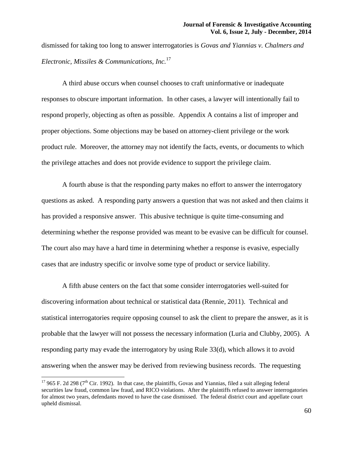dismissed for taking too long to answer interrogatories is *Govas and Yiannias v. Chalmers and Electronic, Missiles & Communications, Inc.*<sup>17</sup>

A third abuse occurs when counsel chooses to craft uninformative or inadequate responses to obscure important information. In other cases, a lawyer will intentionally fail to respond properly, objecting as often as possible. Appendix A contains a list of improper and proper objections. Some objections may be based on attorney-client privilege or the work product rule. Moreover, the attorney may not identify the facts, events, or documents to which the privilege attaches and does not provide evidence to support the privilege claim.

A fourth abuse is that the responding party makes no effort to answer the interrogatory questions as asked. A responding party answers a question that was not asked and then claims it has provided a responsive answer. This abusive technique is quite time-consuming and determining whether the response provided was meant to be evasive can be difficult for counsel. The court also may have a hard time in determining whether a response is evasive, especially cases that are industry specific or involve some type of product or service liability.

A fifth abuse centers on the fact that some consider interrogatories well-suited for discovering information about technical or statistical data (Rennie, 2011). Technical and statistical interrogatories require opposing counsel to ask the client to prepare the answer, as it is probable that the lawyer will not possess the necessary information (Luria and Clubby, 2005). A responding party may evade the interrogatory by using Rule 33(d), which allows it to avoid answering when the answer may be derived from reviewing business records. The requesting

<sup>&</sup>lt;sup>17</sup> 965 F. 2d 298 ( $7<sup>th</sup>$  Cir. 1992). In that case, the plaintiffs, Govas and Yiannias, filed a suit alleging federal securities law fraud, common law fraud, and RICO violations. After the plaintiffs refused to answer interrogatories for almost two years, defendants moved to have the case dismissed. The federal district court and appellate court upheld dismissal.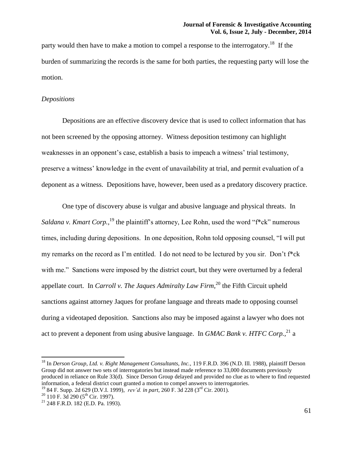party would then have to make a motion to compel a response to the interrogatory.<sup>18</sup> If the burden of summarizing the records is the same for both parties, the requesting party will lose the motion.

## *Depositions*

Depositions are an effective discovery device that is used to collect information that has not been screened by the opposing attorney. Witness deposition testimony can highlight weaknesses in an opponent's case, establish a basis to impeach a witness' trial testimony, preserve a witness' knowledge in the event of unavailability at trial, and permit evaluation of a deponent as a witness. Depositions have, however, been used as a predatory discovery practice.

One type of discovery abuse is vulgar and abusive language and physical threats. In *Saldana v. Kmart Corp.*<sup>19</sup> the plaintiff's attorney, Lee Rohn, used the word "f<sup>\*</sup>ck" numerous times, including during depositions. In one deposition, Rohn told opposing counsel, "I will put my remarks on the record as I'm entitled. I do not need to be lectured by you sir. Don't f\*ck with me." Sanctions were imposed by the district court, but they were overturned by a federal appellate court. In *Carroll v. The Jaques Admiralty Law Firm*,<sup>20</sup> the Fifth Circuit upheld sanctions against attorney Jaques for profane language and threats made to opposing counsel during a videotaped deposition. Sanctions also may be imposed against a lawyer who does not act to prevent a deponent from using abusive language. In *GMAC Bank v. HTFC Corp.*,<sup>21</sup> a

<sup>&</sup>lt;sup>18</sup> In *Derson Group, Ltd. v. Right Management Consultants, Inc.,* 119 F.R.D. 396 (N.D. Ill. 1988), plaintiff Derson Group did not answer two sets of interrogatories but instead made reference to 33,000 documents previously produced in reliance on Rule 33(d). Since Derson Group delayed and provided no clue as to where to find requested information, a federal district court granted a motion to compel answers to interrogatories.

<sup>19</sup> 84 F. Supp. 2d 629 (D.V.I. 1999), *rev'd. in part,* 260 F. 3d 228 (3rd Cir. 2001).

 $20$  110 F. 3d 290 (5<sup>th</sup> Cir. 1997).

<sup>21</sup> 248 F.R.D. 182 (E.D. Pa. 1993).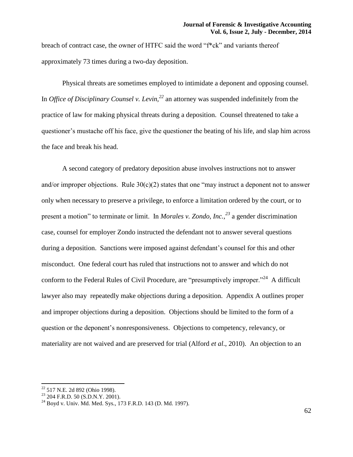breach of contract case, the owner of HTFC said the word "f\*ck" and variants thereof approximately 73 times during a two-day deposition.

Physical threats are sometimes employed to intimidate a deponent and opposing counsel. In *Office of Disciplinary Counsel v. Levin,<sup>22</sup>* an attorney was suspended indefinitely from the practice of law for making physical threats during a deposition. Counsel threatened to take a questioner's mustache off his face, give the questioner the beating of his life, and slap him across the face and break his head.

A second category of predatory deposition abuse involves instructions not to answer and/or improper objections. Rule  $30(c)(2)$  states that one "may instruct a deponent not to answer only when necessary to preserve a privilege, to enforce a limitation ordered by the court, or to present a motion" to terminate or limit. In *Morales v. Zondo, Inc.,<sup>23</sup>* a gender discrimination case, counsel for employer Zondo instructed the defendant not to answer several questions during a deposition. Sanctions were imposed against defendant's counsel for this and other misconduct. One federal court has ruled that instructions not to answer and which do not conform to the Federal Rules of Civil Procedure, are "presumptively improper."<sup>24</sup> A difficult lawyer also may repeatedly make objections during a deposition. Appendix A outlines proper and improper objections during a deposition. Objections should be limited to the form of a question or the deponent's nonresponsiveness. Objections to competency, relevancy, or materiality are not waived and are preserved for trial (Alford *et al*., 2010). An objection to an

 $\overline{\phantom{a}}$  $22$  517 N.E. 2d 892 (Ohio 1998).

<sup>&</sup>lt;sup>23</sup> 204 F.R.D. 50 (S.D.N.Y. 2001).

 $^{24}$  Boyd v. Univ. Md. Med. Sys., 173 F.R.D. 143 (D. Md. 1997).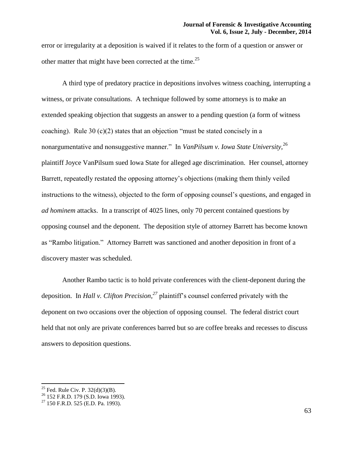error or irregularity at a deposition is waived if it relates to the form of a question or answer or other matter that might have been corrected at the time.<sup>25</sup>

A third type of predatory practice in depositions involves witness coaching, interrupting a witness, or private consultations. A technique followed by some attorneys is to make an extended speaking objection that suggests an answer to a pending question (a form of witness coaching). Rule 30 (c)(2) states that an objection "must be stated concisely in a nonargumentative and nonsuggestive manner." In *VanPilsum v. Iowa State University,*<sup>26</sup> plaintiff Joyce VanPilsum sued Iowa State for alleged age discrimination. Her counsel, attorney Barrett, repeatedly restated the opposing attorney's objections (making them thinly veiled instructions to the witness), objected to the form of opposing counsel's questions, and engaged in *ad hominem* attacks. In a transcript of 4025 lines, only 70 percent contained questions by opposing counsel and the deponent. The deposition style of attorney Barrett has become known as "Rambo litigation." Attorney Barrett was sanctioned and another deposition in front of a discovery master was scheduled.

Another Rambo tactic is to hold private conferences with the client-deponent during the deposition. In *Hall v. Clifton Precision,<sup>27</sup>* plaintiff's counsel conferred privately with the deponent on two occasions over the objection of opposing counsel. The federal district court held that not only are private conferences barred but so are coffee breaks and recesses to discuss answers to deposition questions.

<sup>&</sup>lt;sup>25</sup> Fed. Rule Civ. P.  $32(d)(3)(B)$ .

<sup>&</sup>lt;sup>26</sup> 152 F.R.D. 179 (S.D. Iowa 1993).

<sup>27</sup> 150 F.R.D. 525 (E.D. Pa. 1993).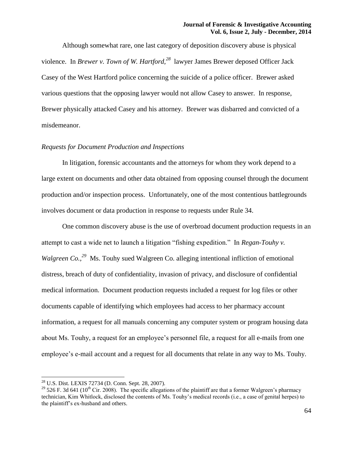Although somewhat rare, one last category of deposition discovery abuse is physical violence. In *Brewer v. Town of W. Hartford,<sup>28</sup>* lawyer James Brewer deposed Officer Jack Casey of the West Hartford police concerning the suicide of a police officer. Brewer asked various questions that the opposing lawyer would not allow Casey to answer. In response, Brewer physically attacked Casey and his attorney. Brewer was disbarred and convicted of a misdemeanor.

# *Requests for Document Production and Inspections*

In litigation, forensic accountants and the attorneys for whom they work depend to a large extent on documents and other data obtained from opposing counsel through the document production and/or inspection process. Unfortunately, one of the most contentious battlegrounds involves document or data production in response to requests under Rule 34.

One common discovery abuse is the use of overbroad document production requests in an attempt to cast a wide net to launch a litigation "fishing expedition." In *Regan-Touhy v. Walgreen Co.*<sup>29</sup> Ms. Touhy sued Walgreen Co. alleging intentional infliction of emotional distress, breach of duty of confidentiality, invasion of privacy, and disclosure of confidential medical information. Document production requests included a request for log files or other documents capable of identifying which employees had access to her pharmacy account information, a request for all manuals concerning any computer system or program housing data about Ms. Touhy, a request for an employee's personnel file, a request for all e-mails from one employee's e-mail account and a request for all documents that relate in any way to Ms. Touhy.

<sup>28</sup> U.S. Dist. LEXIS 72734 (D. Conn. Sept. 28, 2007).

<sup>&</sup>lt;sup>29</sup> 526 F. 3d 641 (10<sup>th</sup> Cir. 2008). The specific allegations of the plaintiff are that a former Walgreen's pharmacy technician, Kim Whitlock, disclosed the contents of Ms. Touhy's medical records (i.e., a case of genital herpes) to the plaintiff's ex-husband and others.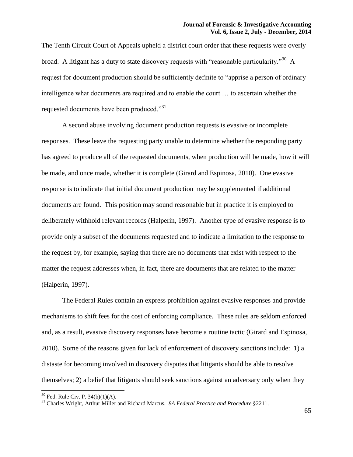The Tenth Circuit Court of Appeals upheld a district court order that these requests were overly broad. A litigant has a duty to state discovery requests with "reasonable particularity."<sup>30</sup> A request for document production should be sufficiently definite to "apprise a person of ordinary intelligence what documents are required and to enable the court … to ascertain whether the requested documents have been produced."<sup>31</sup>

A second abuse involving document production requests is evasive or incomplete responses. These leave the requesting party unable to determine whether the responding party has agreed to produce all of the requested documents, when production will be made, how it will be made, and once made, whether it is complete (Girard and Espinosa, 2010). One evasive response is to indicate that initial document production may be supplemented if additional documents are found. This position may sound reasonable but in practice it is employed to deliberately withhold relevant records (Halperin, 1997). Another type of evasive response is to provide only a subset of the documents requested and to indicate a limitation to the response to the request by, for example, saying that there are no documents that exist with respect to the matter the request addresses when, in fact, there are documents that are related to the matter (Halperin, 1997).

The Federal Rules contain an express prohibition against evasive responses and provide mechanisms to shift fees for the cost of enforcing compliance. These rules are seldom enforced and, as a result, evasive discovery responses have become a routine tactic (Girard and Espinosa, 2010). Some of the reasons given for lack of enforcement of discovery sanctions include: 1) a distaste for becoming involved in discovery disputes that litigants should be able to resolve themselves; 2) a belief that litigants should seek sanctions against an adversary only when they

 $\overline{a}$ 

 $30$  Fed. Rule Civ. P. 34(b)(1)(A).

<sup>31</sup> Charles Wright, Arthur Miller and Richard Marcus. *8A Federal Practice and Procedure* §2211.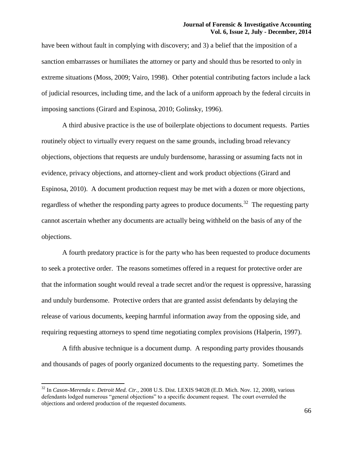have been without fault in complying with discovery; and 3) a belief that the imposition of a sanction embarrasses or humiliates the attorney or party and should thus be resorted to only in extreme situations (Moss, 2009; Vairo, 1998). Other potential contributing factors include a lack of judicial resources, including time, and the lack of a uniform approach by the federal circuits in imposing sanctions (Girard and Espinosa, 2010; Golinsky, 1996).

A third abusive practice is the use of boilerplate objections to document requests. Parties routinely object to virtually every request on the same grounds, including broad relevancy objections, objections that requests are unduly burdensome, harassing or assuming facts not in evidence, privacy objections, and attorney-client and work product objections (Girard and Espinosa, 2010). A document production request may be met with a dozen or more objections, regardless of whether the responding party agrees to produce documents.<sup>32</sup> The requesting party cannot ascertain whether any documents are actually being withheld on the basis of any of the objections.

A fourth predatory practice is for the party who has been requested to produce documents to seek a protective order. The reasons sometimes offered in a request for protective order are that the information sought would reveal a trade secret and/or the request is oppressive, harassing and unduly burdensome. Protective orders that are granted assist defendants by delaying the release of various documents, keeping harmful information away from the opposing side, and requiring requesting attorneys to spend time negotiating complex provisions (Halperin, 1997).

A fifth abusive technique is a document dump. A responding party provides thousands and thousands of pages of poorly organized documents to the requesting party. Sometimes the

<sup>32</sup> In *Cason-Merenda v. Detroit Med. Ctr.,* 2008 U.S. Dist. LEXIS 94028 (E.D. Mich. Nov. 12, 2008), various defendants lodged numerous "general objections" to a specific document request. The court overruled the objections and ordered production of the requested documents.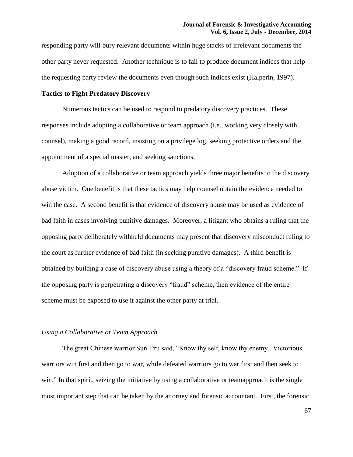responding party will bury relevant documents within huge stacks of irrelevant documents the other party never requested. Another technique is to fail to produce document indices that help the requesting party review the documents even though such indices exist (Halperin, 1997).

# **Tactics to Fight Predatory Discovery**

Numerous tactics can be used to respond to predatory discovery practices. These responses include adopting a collaborative or team approach (i.e., working very closely with counsel), making a good record, insisting on a privilege log, seeking protective orders and the appointment of a special master, and seeking sanctions.

Adoption of a collaborative or team approach yields three major benefits to the discovery abuse victim. One benefit is that these tactics may help counsel obtain the evidence needed to win the case. A second benefit is that evidence of discovery abuse may be used as evidence of bad faith in cases involving punitive damages. Moreover, a litigant who obtains a ruling that the opposing party deliberately withheld documents may present that discovery misconduct ruling to the court as further evidence of bad faith (in seeking punitive damages). A third benefit is obtained by building a case of discovery abuse using a theory of a "discovery fraud scheme." If the opposing party is perpetrating a discovery "fraud" scheme, then evidence of the entire scheme must be exposed to use it against the other party at trial.

## *Using a Collaborative or Team Approach*

The great Chinese warrior Sun Tzu said, "Know thy self, know thy enemy. Victorious warriors win first and then go to war, while defeated warriors go to war first and then seek to win." In that spirit, seizing the initiative by using a collaborative or teamapproach is the single most important step that can be taken by the attorney and forensic accountant. First, the forensic

67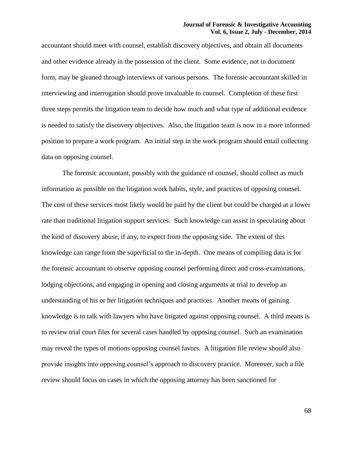accountant should meet with counsel, establish discovery objectives, and obtain all documents and other evidence already in the possession of the client. Some evidence, not in document form, may be gleaned through interviews of various persons. The forensic accountant skilled in interviewing and interrogation should prove invaluable to counsel. Completion of these first three steps permits the litigation team to decide how much and what type of additional evidence is needed to satisfy the discovery objectives. Also, the litigation team is now in a more informed position to prepare a work program. An initial step in the work program should entail collecting data on opposing counsel.

The forensic accountant, possibly with the guidance of counsel, should collect as much information as possible on the litigation work habits, style, and practices of opposing counsel. The cost of these services most likely would be paid by the client but could be charged at a lower rate than traditional litigation support services. Such knowledge can assist in speculating about the kind of discovery abuse, if any, to expect from the opposing side. The extent of this knowledge can range from the superficial to the in-depth. One means of compiling data is for the forensic accountant to observe opposing counsel performing direct and cross-examinations, lodging objections, and engaging in opening and closing arguments at trial to develop an understanding of his or her litigation techniques and practices. Another means of gaining knowledge is to talk with lawyers who have litigated against opposing counsel. A third means is to review trial court files for several cases handled by opposing counsel. Such an examination may reveal the types of motions opposing counsel favors. A litigation file review should also provide insights into opposing counsel's approach to discovery practice. Moreover, such a file review should focus on cases in which the opposing attorney has been sanctioned for

68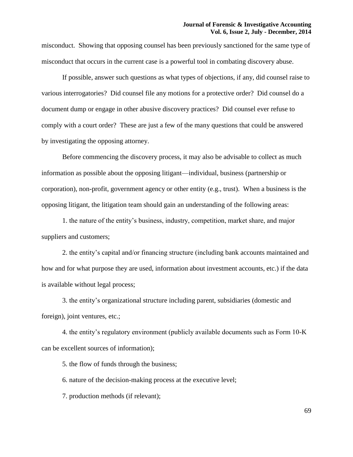misconduct. Showing that opposing counsel has been previously sanctioned for the same type of misconduct that occurs in the current case is a powerful tool in combating discovery abuse.

If possible, answer such questions as what types of objections, if any, did counsel raise to various interrogatories? Did counsel file any motions for a protective order? Did counsel do a document dump or engage in other abusive discovery practices? Did counsel ever refuse to comply with a court order? These are just a few of the many questions that could be answered by investigating the opposing attorney.

Before commencing the discovery process, it may also be advisable to collect as much information as possible about the opposing litigant—individual, business (partnership or corporation), non-profit, government agency or other entity (e.g., trust). When a business is the opposing litigant, the litigation team should gain an understanding of the following areas:

1. the nature of the entity's business, industry, competition, market share, and major suppliers and customers;

2. the entity's capital and/or financing structure (including bank accounts maintained and how and for what purpose they are used, information about investment accounts, etc.) if the data is available without legal process;

3. the entity's organizational structure including parent, subsidiaries (domestic and foreign), joint ventures, etc.;

4. the entity's regulatory environment (publicly available documents such as Form 10-K can be excellent sources of information);

5. the flow of funds through the business;

6. nature of the decision-making process at the executive level;

7. production methods (if relevant);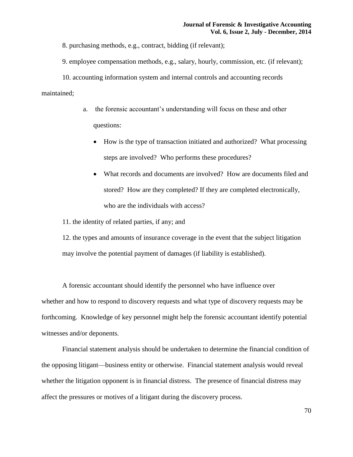8. purchasing methods, e.g., contract, bidding (if relevant);

9. employee compensation methods, e.g., salary, hourly, commission, etc. (if relevant);

10. accounting information system and internal controls and accounting records maintained;

- a. the forensic accountant's understanding will focus on these and other questions:
	- How is the type of transaction initiated and authorized? What processing steps are involved? Who performs these procedures?
	- What records and documents are involved? How are documents filed and stored? How are they completed? If they are completed electronically, who are the individuals with access?

11. the identity of related parties, if any; and

12. the types and amounts of insurance coverage in the event that the subject litigation may involve the potential payment of damages (if liability is established).

A forensic accountant should identify the personnel who have influence over whether and how to respond to discovery requests and what type of discovery requests may be forthcoming. Knowledge of key personnel might help the forensic accountant identify potential witnesses and/or deponents.

Financial statement analysis should be undertaken to determine the financial condition of the opposing litigant—business entity or otherwise. Financial statement analysis would reveal whether the litigation opponent is in financial distress. The presence of financial distress may affect the pressures or motives of a litigant during the discovery process.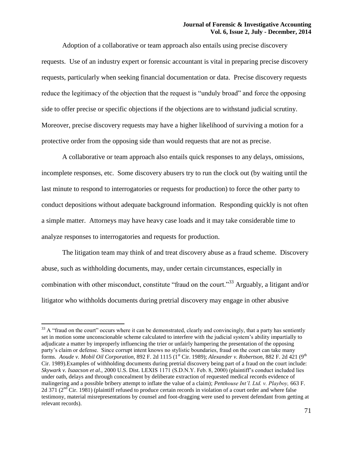Adoption of a collaborative or team approach also entails using precise discovery requests. Use of an industry expert or forensic accountant is vital in preparing precise discovery requests, particularly when seeking financial documentation or data. Precise discovery requests reduce the legitimacy of the objection that the request is "unduly broad" and force the opposing side to offer precise or specific objections if the objections are to withstand judicial scrutiny. Moreover, precise discovery requests may have a higher likelihood of surviving a motion for a protective order from the opposing side than would requests that are not as precise.

A collaborative or team approach also entails quick responses to any delays, omissions, incomplete responses, etc. Some discovery abusers try to run the clock out (by waiting until the last minute to respond to interrogatories or requests for production) to force the other party to conduct depositions without adequate background information. Responding quickly is not often a simple matter. Attorneys may have heavy case loads and it may take considerable time to analyze responses to interrogatories and requests for production.

The litigation team may think of and treat discovery abuse as a fraud scheme. Discovery abuse, such as withholding documents, may, under certain circumstances, especially in combination with other misconduct, constitute "fraud on the court."<sup>33</sup> Arguably, a litigant and/or litigator who withholds documents during pretrial discovery may engage in other abusive

 $33$  A "fraud on the court" occurs where it can be demonstrated, clearly and convincingly, that a party has sentiently set in motion some unconscionable scheme calculated to interfere with the judicial system's ability impartially to adjudicate a matter by improperly influencing the trier or unfairly hampering the presentation of the opposing party's claim or defense. Since corrupt intent knows no stylistic boundaries, fraud on the court can take many forms. Aoude v. Mobil Oil Corporation, 892 F. 2d 1115 (1<sup>st</sup> Cir. 1989); Alexander v. Robertson, 882 F. 2d 421 (9<sup>th</sup> Cir. 1989).Examples of withholding documents during pretrial discovery being part of a fraud on the court include: *Skywark v. Isaacson et al.,* 2000 U.S. Dist. LEXIS 1171 (S.D.N.Y. Feb. 8, 2000) (plaintiff's conduct included lies under oath, delays and through concealment by deliberate extraction of requested medical records evidence of malingering and a possible bribery attempt to inflate the value of a claim); *Penthouse Int'l. Ltd. v. Playboy,* 663 F. 2d 371 ( $2<sup>nd</sup>$  Cir. 1981) (plaintiff refused to produce certain records in violation of a court order and where false testimony, material misrepresentations by counsel and foot-dragging were used to prevent defendant from getting at relevant records).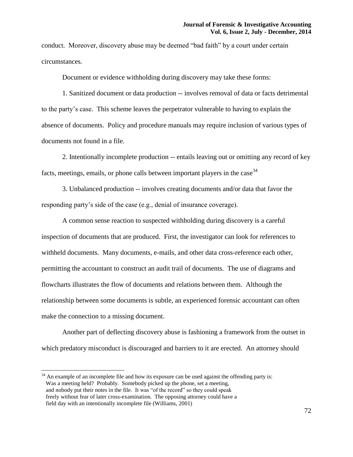conduct. Moreover, discovery abuse may be deemed "bad faith" by a court under certain circumstances.

Document or evidence withholding during discovery may take these forms:

1. Sanitized document or data production -- involves removal of data or facts detrimental to the party's case. This scheme leaves the perpetrator vulnerable to having to explain the absence of documents. Policy and procedure manuals may require inclusion of various types of documents not found in a file.

2. Intentionally incomplete production -- entails leaving out or omitting any record of key facts, meetings, emails, or phone calls between important players in the case<sup>34</sup>

3. Unbalanced production -- involves creating documents and/or data that favor the responding party's side of the case (e.g., denial of insurance coverage).

A common sense reaction to suspected withholding during discovery is a careful inspection of documents that are produced. First, the investigator can look for references to withheld documents. Many documents, e-mails, and other data cross-reference each other, permitting the accountant to construct an audit trail of documents. The use of diagrams and flowcharts illustrates the flow of documents and relations between them. Although the relationship between some documents is subtle, an experienced forensic accountant can often make the connection to a missing document.

Another part of deflecting discovery abuse is fashioning a framework from the outset in which predatory misconduct is discouraged and barriers to it are erected. An attorney should

 $34$  An example of an incomplete file and how its exposure can be used against the offending party is: Was a meeting held? Probably. Somebody picked up the phone, set a meeting, and nobody put their notes in the file. It was "of the record" so they could speak freely without fear of later cross-examination. The opposing attorney could have a field day with an intentionally incomplete file (Williams, 2001)

 $\overline{a}$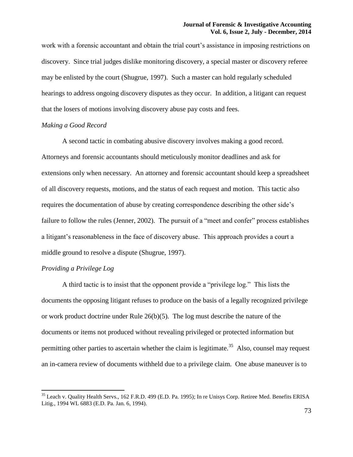work with a forensic accountant and obtain the trial court's assistance in imposing restrictions on discovery. Since trial judges dislike monitoring discovery, a special master or discovery referee may be enlisted by the court (Shugrue, 1997). Such a master can hold regularly scheduled hearings to address ongoing discovery disputes as they occur. In addition, a litigant can request that the losers of motions involving discovery abuse pay costs and fees.

## *Making a Good Record*

A second tactic in combating abusive discovery involves making a good record. Attorneys and forensic accountants should meticulously monitor deadlines and ask for extensions only when necessary. An attorney and forensic accountant should keep a spreadsheet of all discovery requests, motions, and the status of each request and motion. This tactic also requires the documentation of abuse by creating correspondence describing the other side's failure to follow the rules (Jenner, 2002). The pursuit of a "meet and confer" process establishes a litigant's reasonableness in the face of discovery abuse. This approach provides a court a middle ground to resolve a dispute (Shugrue, 1997).

# *Providing a Privilege Log*

 $\overline{a}$ 

A third tactic is to insist that the opponent provide a "privilege log." This lists the documents the opposing litigant refuses to produce on the basis of a legally recognized privilege or work product doctrine under Rule  $26(b)(5)$ . The log must describe the nature of the documents or items not produced without revealing privileged or protected information but permitting other parties to ascertain whether the claim is legitimate.<sup>35</sup> Also, counsel may request an in-camera review of documents withheld due to a privilege claim. One abuse maneuver is to

<sup>&</sup>lt;sup>35</sup> Leach v. Quality Health Servs., 162 F.R.D. 499 (E.D. Pa. 1995); In re Unisys Corp. Retiree Med. Benefits ERISA Litig., 1994 WL 6883 (E.D. Pa. Jan. 6, 1994).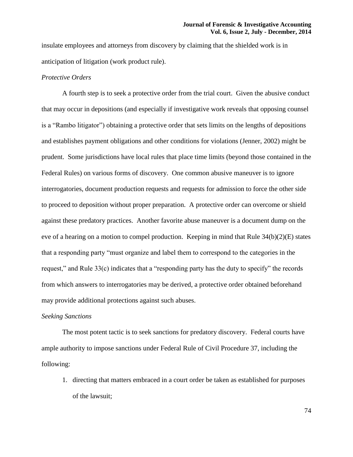insulate employees and attorneys from discovery by claiming that the shielded work is in anticipation of litigation (work product rule).

# *Protective Orders*

A fourth step is to seek a protective order from the trial court. Given the abusive conduct that may occur in depositions (and especially if investigative work reveals that opposing counsel is a "Rambo litigator") obtaining a protective order that sets limits on the lengths of depositions and establishes payment obligations and other conditions for violations (Jenner, 2002) might be prudent. Some jurisdictions have local rules that place time limits (beyond those contained in the Federal Rules) on various forms of discovery. One common abusive maneuver is to ignore interrogatories, document production requests and requests for admission to force the other side to proceed to deposition without proper preparation. A protective order can overcome or shield against these predatory practices. Another favorite abuse maneuver is a document dump on the eve of a hearing on a motion to compel production. Keeping in mind that Rule 34(b)(2)(E) states that a responding party "must organize and label them to correspond to the categories in the request," and Rule 33(c) indicates that a "responding party has the duty to specify" the records from which answers to interrogatories may be derived, a protective order obtained beforehand may provide additional protections against such abuses.

## *Seeking Sanctions*

The most potent tactic is to seek sanctions for predatory discovery. Federal courts have ample authority to impose sanctions under Federal Rule of Civil Procedure 37, including the following:

1. directing that matters embraced in a court order be taken as established for purposes of the lawsuit;

74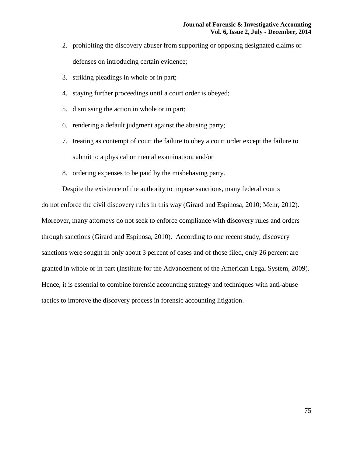- 2. prohibiting the discovery abuser from supporting or opposing designated claims or defenses on introducing certain evidence;
- 3. striking pleadings in whole or in part;
- 4. staying further proceedings until a court order is obeyed;
- 5. dismissing the action in whole or in part;
- 6. rendering a default judgment against the abusing party;
- 7. treating as contempt of court the failure to obey a court order except the failure to submit to a physical or mental examination; and/or
- 8. ordering expenses to be paid by the misbehaving party.

Despite the existence of the authority to impose sanctions, many federal courts do not enforce the civil discovery rules in this way (Girard and Espinosa, 2010; Mehr, 2012). Moreover, many attorneys do not seek to enforce compliance with discovery rules and orders through sanctions (Girard and Espinosa, 2010). According to one recent study, discovery sanctions were sought in only about 3 percent of cases and of those filed, only 26 percent are granted in whole or in part (Institute for the Advancement of the American Legal System, 2009). Hence, it is essential to combine forensic accounting strategy and techniques with anti-abuse tactics to improve the discovery process in forensic accounting litigation.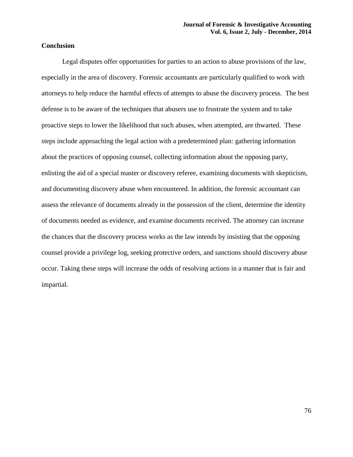# **Conclusion**

Legal disputes offer opportunities for parties to an action to abuse provisions of the law, especially in the area of discovery. Forensic accountants are particularly qualified to work with attorneys to help reduce the harmful effects of attempts to abuse the discovery process. The best defense is to be aware of the techniques that abusers use to frustrate the system and to take proactive steps to lower the likelihood that such abuses, when attempted, are thwarted. These steps include approaching the legal action with a predetermined plan: gathering information about the practices of opposing counsel, collecting information about the opposing party, enlisting the aid of a special master or discovery referee, examining documents with skepticism, and documenting discovery abuse when encountered. In addition, the forensic accountant can assess the relevance of documents already in the possession of the client, determine the identity of documents needed as evidence, and examine documents received. The attorney can increase the chances that the discovery process works as the law intends by insisting that the opposing counsel provide a privilege log, seeking protective orders, and sanctions should discovery abuse occur. Taking these steps will increase the odds of resolving actions in a manner that is fair and impartial.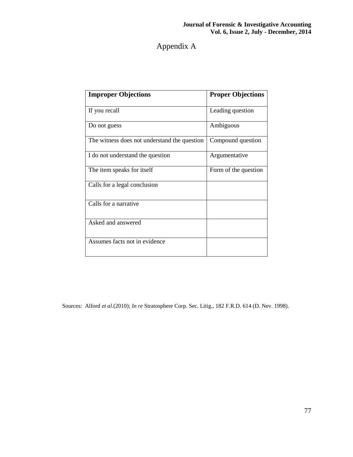# Appendix A

| <b>Improper Objections</b>                   | <b>Proper Objections</b> |
|----------------------------------------------|--------------------------|
| If you recall                                | Leading question         |
| Do not guess                                 | Ambiguous                |
| The witness does not understand the question | Compound question        |
| I do not understand the question             | Argumentative            |
| The item speaks for itself                   | Form of the question     |
| Calls for a legal conclusion                 |                          |
| Calls for a narrative                        |                          |
| Asked and answered                           |                          |
| Assumes facts not in evidence                |                          |

Sources: Alford *et al*.(2010); *In re* Stratosphere Corp. Sec. Litig., 182 F.R.D. 614 (D. Nev. 1998).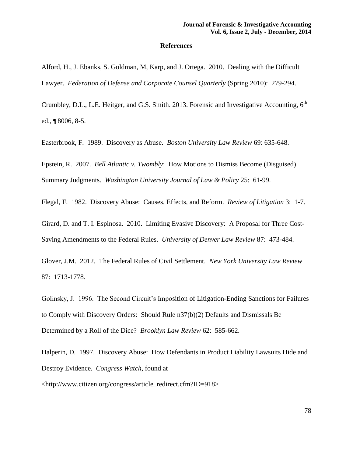# **References**

Alford, H., J. Ebanks, S. Goldman, M, Karp, and J. Ortega. 2010. Dealing with the Difficult Lawyer. *Federation of Defense and Corporate Counsel Quarterly (Spring 2010): 279-294.* 

Crumbley, D.L., L.E. Heitger, and G.S. Smith. 2013. Forensic and Investigative Accounting, 6<sup>th</sup> ed., ¶ 8006, 8-5.

Easterbrook, F. 1989. Discovery as Abuse. *Boston University Law Review* 69: 635-648.

Epstein, R. 2007. *Bell Atlantic v. Twombly*: How Motions to Dismiss Become (Disguised) Summary Judgments. *Washington University Journal of Law & Policy* 25: 61-99.

Flegal, F. 1982. Discovery Abuse: Causes, Effects, and Reform. *Review of Litigation* 3: 1-7.

Girard, D. and T. I. Espinosa. 2010. Limiting Evasive Discovery: A Proposal for Three Cost-Saving Amendments to the Federal Rules. *University of Denver Law Review* 87: 473-484.

Glover, J.M. 2012. The Federal Rules of Civil Settlement. *New York University Law Review*  87: 1713-1778.

Golinsky, J. 1996. The Second Circuit's Imposition of Litigation-Ending Sanctions for Failures to Comply with Discovery Orders: Should Rule n37(b)(2) Defaults and Dismissals Be Determined by a Roll of the Dice? *Brooklyn Law Review* 62: 585-662.

Halperin, D. 1997. Discovery Abuse: How Defendants in Product Liability Lawsuits Hide and Destroy Evidence. *Congress Watch*, found at

<http://www.citizen.org/congress/article\_redirect.cfm?ID=918>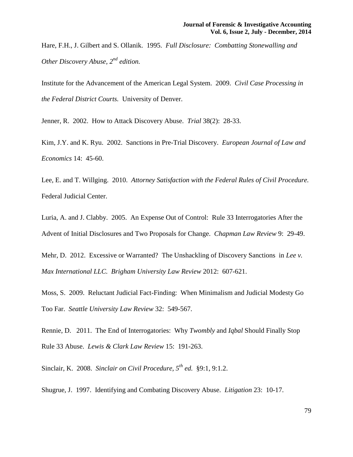Hare, F.H., J. Gilbert and S. Ollanik. 1995. *Full Disclosure: Combatting Stonewalling and Other Discovery Abuse, 2nd edition.*

Institute for the Advancement of the American Legal System. 2009. *Civil Case Processing in the Federal District Courts.* University of Denver.

Jenner, R. 2002. How to Attack Discovery Abuse. *Trial* 38(2): 28-33.

Kim, J.Y. and K. Ryu. 2002. Sanctions in Pre-Trial Discovery. *European Journal of Law and Economics* 14: 45-60.

Lee, E. and T. Willging. 2010. *Attorney Satisfaction with the Federal Rules of Civil Procedure.*  Federal Judicial Center.

Luria, A. and J. Clabby. 2005. An Expense Out of Control: Rule 33 Interrogatories After the Advent of Initial Disclosures and Two Proposals for Change. *Chapman Law Review* 9: 29-49.

Mehr, D. 2012. Excessive or Warranted? The Unshackling of Discovery Sanctions in *Lee v. Max International LLC. Brigham University Law Review* 2012: 607-621.

Moss, S. 2009. Reluctant Judicial Fact-Finding: When Minimalism and Judicial Modesty Go Too Far. *Seattle University Law Review* 32: 549-567.

Rennie, D. 2011. The End of Interrogatories: Why *Twombly* and *Iqbal* Should Finally Stop Rule 33 Abuse. *Lewis & Clark Law Review* 15: 191-263.

Sinclair, K. 2008. *Sinclair on Civil Procedure, 5th ed.* §9:1, 9:1.2.

Shugrue, J. 1997. Identifying and Combating Discovery Abuse. *Litigation* 23: 10-17.